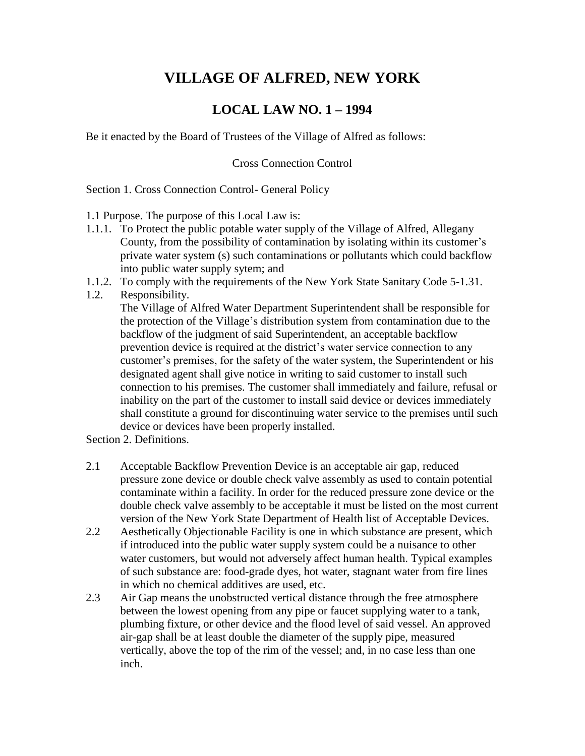## **VILLAGE OF ALFRED, NEW YORK LOCAL LAW NO. <sup>1</sup> <sup>ñ</sup> <sup>1994</sup>**

Be it enacted by the Board of Trustees of the Village of Alfred as follows:

Cross Connection Control

Section 1. Cross Connection Control- General Policy

1.1 Purpose. The purpose of this Local Law is:

- 1.1.1. To Protect the public potable water supply of the Village of Alfred, Allegany County, from the possibility of contamination by isolating within its customer's private water system (s) such contaminations or pollutants which could backflow into public water supply sytem; and
- 1.1.2. To comply with the requirements of the New York State Sanitary Code 5-1.31.
- 1.2. Responsibility. The Village of Alfred Water Department Superintendent shall be responsible for Responsibility.<br>The Village of Alfred Water Department Superintendent shall be responsible for<br>the protection of the Village's distribution system from contamination due to the backflow of the judgment of said Superintendent, an acceptable backflow the protection of the Village's distribution system from contamination due to the prevention device is required at the district's water service connection to any customer's premises, for the safety of the water system, the Superintendent or his designated agent shall give notice in writing to said customer to install such connection to his premises. The customer shall immediately and failure, refusal or inability on the part of the customer to install said device or devices immediately shall constitute a ground for discontinuing water service to the premises until such device or devices have been properly installed.

Section 2. Definitions.

- 2.1 Acceptable Backflow Prevention Device is an acceptable air gap, reduced pressure zone device or double check valve assembly as used to contain potential contaminate within a facility. In order for the reduced pressure zone device or the double check valve assembly to be acceptable it must be listed on the most current version of the New York State Department of Health list of Acceptable Devices.
- 2.2 Aesthetically Objectionable Facility is one in which substance are present, which if introduced into the public water supply system could be a nuisance to other water customers, but would not adversely affect human health. Typical examples of such substance are: food-grade dyes, hot water, stagnant water from fire lines in which no chemical additives are used, etc.
- 2.3 Air Gap means the unobstructed vertical distance through the free atmosphere between the lowest opening from any pipe or faucet supplying water to a tank, plumbing fixture, or other device and the flood level of said vessel. An approved air-gap shall be at least double the diameter of the supply pipe, measured vertically, above the top of the rim of the vessel; and, in no case less than one inch.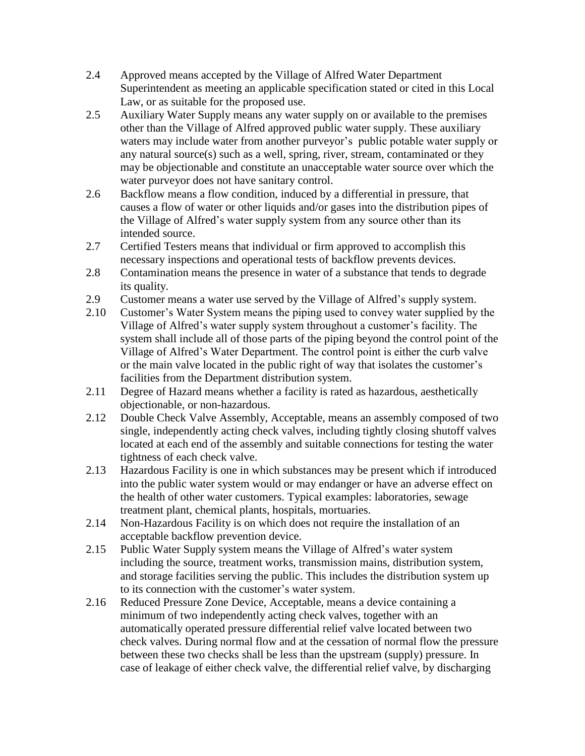- 2.4 Approved means accepted by the Village of Alfred Water Department Superintendent as meeting an applicable specification stated or cited in this Local Law, or as suitable for the proposed use.<br>2.5 Auxiliary Water Supply means any water supply on or available to the premises
- other than the Village of Alfred approved public water supply. These auxiliary waters may include water from another purveyor's public potable water supply or any natural source(s) such as a well, spring, river, stream, contaminated or they may be objectionable and constitute an unacceptable water source over which the water purveyor does not have sanitary control.
- 2.6 Backflow means a flow condition, induced by a differential in pressure, that causes a flow of water or other liquids and/or gases into the distribution pipes of Backflow means a flow condition, induced by a differential in pressure, that<br>causes a flow of water or other liquids and/or gases into the distribution pipes of<br>the Village of Alfred's water supply system from any source o intended source.
- 2.7 Certified Testers means that individual or firm approved to accomplish this necessary inspections and operational tests of backflow prevents devices.
- 2.8 Contamination means the presence in water of a substance that tends to degrade its quality. 2.9 Customer means a water use served by the Village of Alfred's supply system.<br>2.10 Customer's Water System means the piping used to convey water supplied by the
- 2.9 Customer means a water use served by the Village of Alfred's supply system.
- Customer means a water use served by the Village of Alfred's supply system.<br>Customer's Water System means the piping used to convey water supplied by the<br>Village of Alfred's water supply system throughout a customer's faci system shall include all of those parts of the piping beyond the control point of the Village of Alfred's water supply system throughout a customer's facility. The system shall include all of those parts of the piping beyond the control point of the Village of Alfred's Water Department. The control point is or the main valve located in the public right of way that isolates the customer's facilities from the Department distribution system.
- 2.11 Degree of Hazard means whether a facility is rated as hazardous, aesthetically objectionable, or non-hazardous.
- 2.12 Double Check Valve Assembly, Acceptable, means an assembly composed of two single, independently acting check valves, including tightly closing shutoff valves located at each end of the assembly and suitable connections for testing the water tightness of each check valve.
- 2.13 Hazardous Facility is one in which substances may be present which if introduced into the public water system would or may endanger or have an adverse effect on the health of other water customers. Typical examples: laboratories, sewage treatment plant, chemical plants, hospitals, mortuaries.
- 2.14 Non-Hazardous Facility is on which does not require the installation of an acceptable backflow prevention device.<br>2.15 Public Water Supply system means the Village of Alfred's water system acceptable backflow prevention device.
- including the source, treatment works, transmission mains, distribution system, and storage facilities serving the public. This includes the distribution system up including the source, treatment works, transmission mai and storage facilities serving the public. This includes the its connection with the customer's water system.
- 2.16 Reduced Pressure Zone Device, Acceptable, means a device containing a minimum of two independently acting check valves, together with an automatically operated pressure differential relief valve located between two check valves. During normal flow and at the cessation of normal flow the pressure between these two checks shall be less than the upstream (supply) pressure. In case of leakage of either check valve, the differential relief valve, by discharging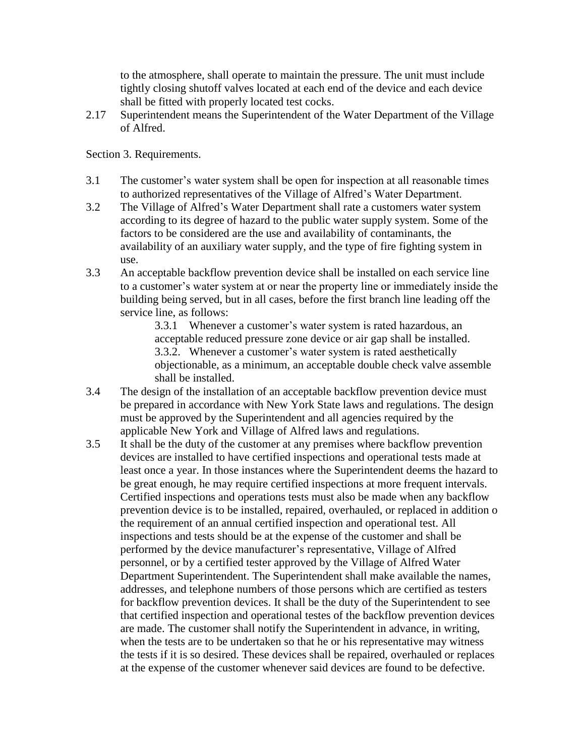to the atmosphere, shall operate to maintain the pressure. The unit must include tightly closing shutoff valves located at each end of the device and each device shall be fitted with properly located test cocks.

2.17 Superintendent means the Superintendent of the Water Department of the Village of Alfred.

Section 3. Requirements.

- 3.1 The customer's water system shall be open for inspection at all reasonable times The customer's water system shall be open for inspection at all reasonable time<br>to authorized representatives of the Village of Alfred's Water Department. 3.1 The customer's water system shall be open for inspection at all reasonable times<br>to authorized representatives of the Village of Alfred's Water Department.<br>3.2 The Village of Alfred's Water Department shall rate a cust
- according to its degree of hazard to the public water supply system. Some of the factors to be considered are the use and availability of contaminants, the availability of an auxiliary water supply, and the type of fire fighting system in use.
- 3.3 An acceptable backflow prevention device shall be installed on each service line to a customer's water system at or near the property line or immediately inside the building being served, but in all cases, before the first branch line leading off the service line, as follows:<br>3.3.1 Whenever a customer's water system is rated hazardous, an service line, as follows:

acceptable reduced pressure zone device or air gap shall be installed. 3.3.1 Whenever a customer's water system is rated hazardous, an acceptable reduced pressure zone device or air gap shall be installed.<br>3.3.2. Whenever a customer's water system is rated aesthetically objectionable, as a minimum, an acceptable double check valve assemble shall be installed.

- 3.4 The design of the installation of an acceptable backflow prevention device must be prepared in accordance with New York State laws and regulations. The design must be approved by the Superintendent and all agencies required by the applicable New York and Village of Alfred laws and regulations.
- 3.5 It shall be the duty of the customer at any premises where backflow prevention devices are installed to have certified inspections and operational tests made at least once a year. In those instances where the Superintendent deems the hazard to be great enough, he may require certified inspections at more frequent intervals. Certified inspections and operations tests must also be made when any backflow prevention device is to be installed, repaired, overhauled, or replaced in addition o the requirement of an annual certified inspection and operational test. All inspections and tests should be at the expense of the customer and shall be performed by the device manufacturer's representative, Village of Alfred personnel, or by a certified tester approved by the Village of Alfred Water Department Superintendent. The Superintendent shall make available the names, addresses, and telephone numbers of those persons which are certified as testers for backflow prevention devices. It shall be the duty of the Superintendent to see that certified inspection and operational testes of the backflow prevention devices are made. The customer shall notify the Superintendent in advance, in writing, when the tests are to be undertaken so that he or his representative may witness the tests if it is so desired. These devices shall be repaired, overhauled or replaces at the expense of the customer whenever said devices are found to be defective.